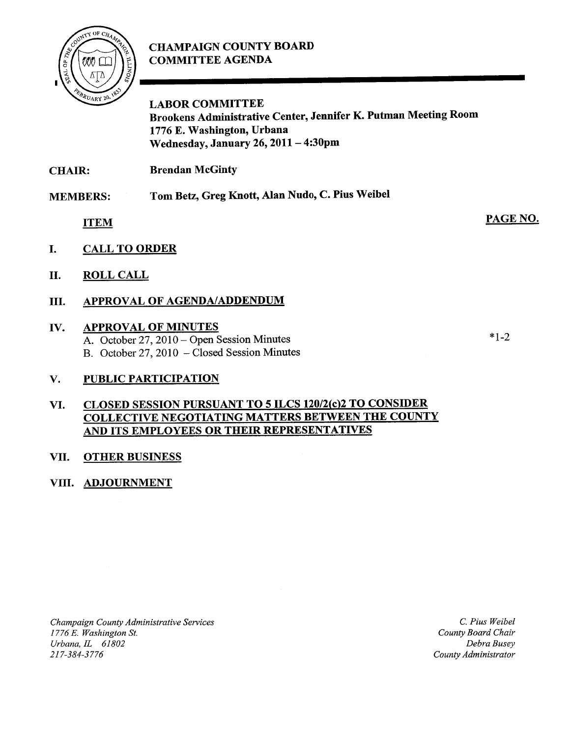# CHAMPAIGN COUNTY BOARD COMMITTEE AGENDA



LABOR COMMITTEE Brookens Administrative Center, Jennifer K. Putman Meeting Room 1776 E. Washington, Urbana Wednesday, January 26, <sup>2011</sup> — 4:30pm

CHAIR: Brendan McGinty

MEMBERS: Tom Betz, Greg Knott, Alan Nudo, C. Pius Weibel

ITEM

- I. CALL TO ORDER
- II. ROLL CALL

## III. APPROVAL OF AGENDA/ADDENDUM

#### IV. APPROVAL OF MINUTES

A. October 27, 2010 — Open Session Minutes B. October 27, 2010 — Closed Session Minutes  $*1.7$ 

PAGE NO.

## V. PUBLIC PARTICIPATION

#### VI. CLOSED SESSION PURSUANT TO 5 ILCS 120/2(c)2 TO CONSIDER COLLECTIVE NEGOTIATING MATTERS BETWEEN THE COUNTY AND ITS EMPLOYEES OR THEIR REPRESENTATIVES

#### VII. OTHER BUSINESS

## VIII. ADJOURNMENT

Champaign County Administrative Services 1776 E. Washington St. Urbana, IL 61802 217-384-3776

C. Pius Weibel County Board Chair Debra Busey County Administrator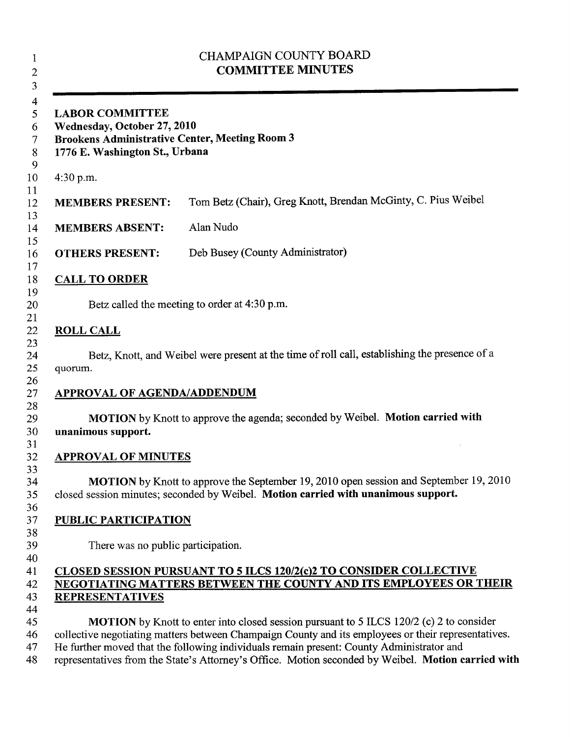| <b>CHAMPAIGN COUNTY BOARD</b><br><b>COMMITTEE MINUTES</b><br><b>LABOR COMMITTEE</b><br>Wednesday, October 27, 2010<br><b>Brookens Administrative Center, Meeting Room 3</b><br>1776 E. Washington St., Urbana |                                                                                                                                                                                                                                                                                                                                                                                                         |
|---------------------------------------------------------------------------------------------------------------------------------------------------------------------------------------------------------------|---------------------------------------------------------------------------------------------------------------------------------------------------------------------------------------------------------------------------------------------------------------------------------------------------------------------------------------------------------------------------------------------------------|
|                                                                                                                                                                                                               |                                                                                                                                                                                                                                                                                                                                                                                                         |
| <b>MEMBERS PRESENT:</b>                                                                                                                                                                                       | Tom Betz (Chair), Greg Knott, Brendan McGinty, C. Pius Weibel                                                                                                                                                                                                                                                                                                                                           |
| <b>MEMBERS ABSENT:</b>                                                                                                                                                                                        | Alan Nudo                                                                                                                                                                                                                                                                                                                                                                                               |
| <b>OTHERS PRESENT:</b>                                                                                                                                                                                        | Deb Busey (County Administrator)                                                                                                                                                                                                                                                                                                                                                                        |
| <b>CALL TO ORDER</b>                                                                                                                                                                                          |                                                                                                                                                                                                                                                                                                                                                                                                         |
|                                                                                                                                                                                                               | Betz called the meeting to order at 4:30 p.m.                                                                                                                                                                                                                                                                                                                                                           |
| <b>ROLL CALL</b>                                                                                                                                                                                              |                                                                                                                                                                                                                                                                                                                                                                                                         |
| quorum.                                                                                                                                                                                                       | Betz, Knott, and Weibel were present at the time of roll call, establishing the presence of a                                                                                                                                                                                                                                                                                                           |
| <b>APPROVAL OF AGENDA/ADDENDUM</b>                                                                                                                                                                            |                                                                                                                                                                                                                                                                                                                                                                                                         |
| unanimous support.                                                                                                                                                                                            | MOTION by Knott to approve the agenda; seconded by Weibel. Motion carried with                                                                                                                                                                                                                                                                                                                          |
| <b>APPROVAL OF MINUTES</b>                                                                                                                                                                                    |                                                                                                                                                                                                                                                                                                                                                                                                         |
|                                                                                                                                                                                                               | MOTION by Knott to approve the September 19, 2010 open session and September 19, 2010<br>closed session minutes; seconded by Weibel. Motion carried with unanimous support.                                                                                                                                                                                                                             |
| <b>PUBLIC PARTICIPATION</b>                                                                                                                                                                                   |                                                                                                                                                                                                                                                                                                                                                                                                         |
| There was no public participation.                                                                                                                                                                            |                                                                                                                                                                                                                                                                                                                                                                                                         |
| <b>REPRESENTATIVES</b>                                                                                                                                                                                        | CLOSED SESSION PURSUANT TO 5 ILCS 120/2(c)2 TO CONSIDER COLLECTIVE<br><b>NEGOTIATING MATTERS BETWEEN THE COUNTY AND ITS EMPLOYEES OR THEIR</b>                                                                                                                                                                                                                                                          |
|                                                                                                                                                                                                               | <b>MOTION</b> by Knott to enter into closed session pursuant to 5 ILCS 120/2 (c) 2 to consider<br>collective negotiating matters between Champaign County and its employees or their representatives.<br>He further moved that the following individuals remain present: County Administrator and<br>representatives from the State's Attorney's Office. Motion seconded by Weibel. Motion carried with |